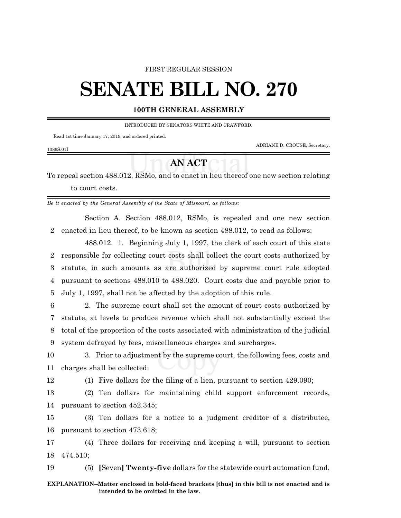#### FIRST REGULAR SESSION

# **SENATE BILL NO. 270**

#### **100TH GENERAL ASSEMBLY**

INTRODUCED BY SENATORS WHITE AND CRAWFORD.

Read 1st time January 17, 2019, and ordered printed.

ADRIANE D. CROUSE, Secretary.

### 1386S.01I

## **AN ACT**

To repeal section 488.012, RSMo, and to enact in lieu thereof one new section relating to court costs.

*Be it enacted by the General Assembly of the State of Missouri, as follows:*

Section A. Section 488.012, RSMo, is repealed and one new section 2 enacted in lieu thereof, to be known as section 488.012, to read as follows:

488.012. 1. Beginning July 1, 1997, the clerk of each court of this state responsible for collecting court costs shall collect the court costs authorized by statute, in such amounts as are authorized by supreme court rule adopted pursuant to sections 488.010 to 488.020. Court costs due and payable prior to July 1, 1997, shall not be affected by the adoption of this rule.

 2. The supreme court shall set the amount of court costs authorized by statute, at levels to produce revenue which shall not substantially exceed the total of the proportion of the costs associated with administration of the judicial system defrayed by fees, miscellaneous charges and surcharges.

10 3. Prior to adjustment by the supreme court, the following fees, costs and 11 charges shall be collected:

12 (1) Five dollars for the filing of a lien, pursuant to section 429.090;

13 (2) Ten dollars for maintaining child support enforcement records, 14 pursuant to section 452.345;

15 (3) Ten dollars for a notice to a judgment creditor of a distributee, 16 pursuant to section 473.618;

17 (4) Three dollars for receiving and keeping a will, pursuant to section 18 474.510;

19 (5) **[**Seven**] Twenty-five** dollars for the statewide court automation fund,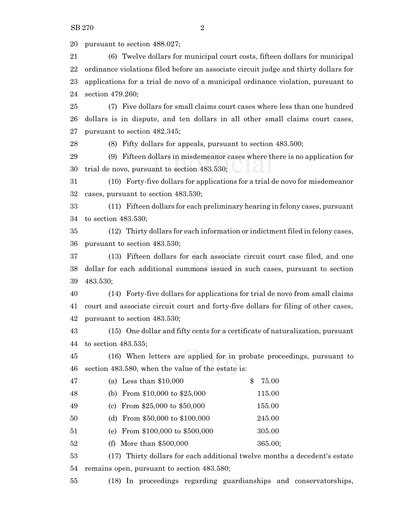pursuant to section 488.027;

 (6) Twelve dollars for municipal court costs, fifteen dollars for municipal ordinance violations filed before an associate circuit judge and thirty dollars for applications for a trial de novo of a municipal ordinance violation, pursuant to section 479.260;

 (7) Five dollars for small claims court cases where less than one hundred dollars is in dispute, and ten dollars in all other small claims court cases, pursuant to section 482.345;

(8) Fifty dollars for appeals, pursuant to section 483.500;

 (9) Fifteen dollars in misdemeanor cases where there is no application for trial de novo, pursuant to section 483.530;

 (10) Forty-five dollars for applications for a trial de novo for misdemeanor cases, pursuant to section 483.530;

 (11) Fifteen dollars for each preliminary hearing in felony cases, pursuant to section 483.530;

 (12) Thirty dollars for each information or indictment filed in felony cases, pursuant to section 483.530;

 (13) Fifteen dollars for each associate circuit court case filed, and one dollar for each additional summons issued in such cases, pursuant to section 483.530;

 (14) Forty-five dollars for applications for trial de novo from small claims court and associate circuit court and forty-five dollars for filing of other cases, pursuant to section 483.530;

 (15) One dollar and fifty cents for a certificate of naturalization, pursuant to section 483.535;

 (16) When letters are applied for in probate proceedings, pursuant to section 483.580, when the value of the estate is:

| 47 | (a) Less than $$10,000$         | 75.00   |
|----|---------------------------------|---------|
| 48 | (b) From $$10,000$ to $$25,000$ | 115.00  |
| 49 | (c) From $$25,000$ to $$50,000$ | 155.00  |
| 50 | (d) From \$50,000 to \$100,000  | 245.00  |
| 51 | (e) From \$100,000 to \$500,000 | 305.00  |
| 52 | More than \$500,000<br>(f)      | 365.00; |

 (17) Thirty dollars for each additional twelve months a decedent's estate remains open, pursuant to section 483.580;

(18) In proceedings regarding guardianships and conservatorships,